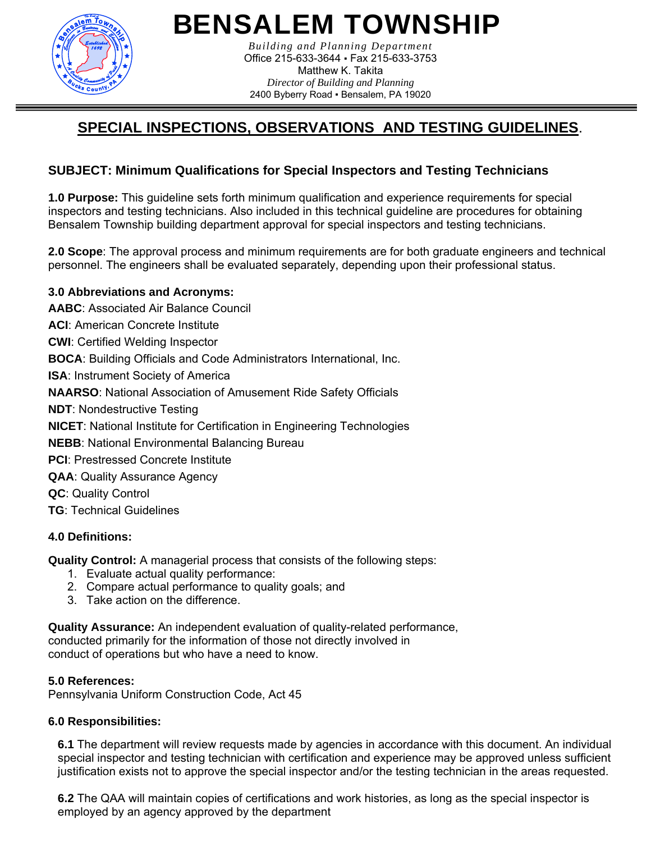

*Building and Planning Department*  Office 215-633-3644 ▪ Fax 215-633-3753 Matthew K. Takita *Director of Building and Planning*  2400 Byberry Road ▪ Bensalem, PA 19020

## **SPECIAL INSPECTIONS, OBSERVATIONS AND TESTING GUIDELINES**.

## **SUBJECT: Minimum Qualifications for Special Inspectors and Testing Technicians**

**1.0 Purpose:** This guideline sets forth minimum qualification and experience requirements for special inspectors and testing technicians. Also included in this technical guideline are procedures for obtaining Bensalem Township building department approval for special inspectors and testing technicians.

**2.0 Scope**: The approval process and minimum requirements are for both graduate engineers and technical personnel. The engineers shall be evaluated separately, depending upon their professional status.

### **3.0 Abbreviations and Acronyms:**

**AABC**: Associated Air Balance Council **ACI**: American Concrete Institute **CWI**: Certified Welding Inspector **BOCA**: Building Officials and Code Administrators International, Inc. **ISA**: Instrument Society of America **NAARSO**: National Association of Amusement Ride Safety Officials **NDT**: Nondestructive Testing **NICET**: National Institute for Certification in Engineering Technologies **NEBB**: National Environmental Balancing Bureau **PCI: Prestressed Concrete Institute QAA**: Quality Assurance Agency **QC**: Quality Control **TG**: Technical Guidelines

### **4.0 Definitions:**

**Quality Control:** A managerial process that consists of the following steps:

- 1. Evaluate actual quality performance:
- 2. Compare actual performance to quality goals; and
- 3. Take action on the difference.

**Quality Assurance:** An independent evaluation of quality-related performance, conducted primarily for the information of those not directly involved in conduct of operations but who have a need to know.

### **5.0 References:**

Pennsylvania Uniform Construction Code, Act 45

### **6.0 Responsibilities:**

**6.1** The department will review requests made by agencies in accordance with this document. An individual special inspector and testing technician with certification and experience may be approved unless sufficient justification exists not to approve the special inspector and/or the testing technician in the areas requested.

**6.2** The QAA will maintain copies of certifications and work histories, as long as the special inspector is employed by an agency approved by the department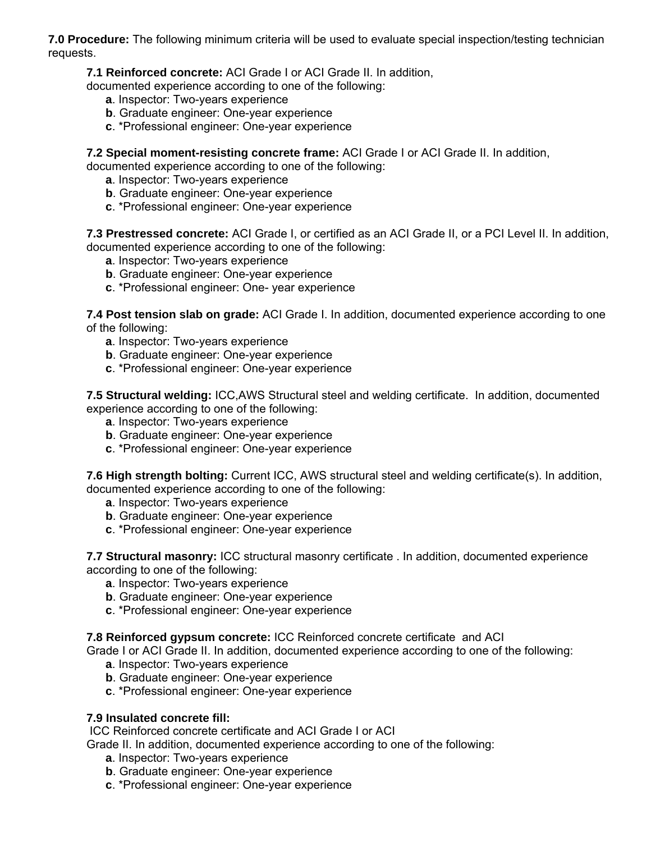**7.0 Procedure:** The following minimum criteria will be used to evaluate special inspection/testing technician requests.

**7.1 Reinforced concrete:** ACI Grade I or ACI Grade II. In addition,

documented experience according to one of the following:

- **a**. Inspector: Two-years experience
- **b**. Graduate engineer: One-year experience
- **c**. \*Professional engineer: One-year experience

**7.2 Special moment-resisting concrete frame:** ACI Grade I or ACI Grade II. In addition,

documented experience according to one of the following:

- **a**. Inspector: Two-years experience
- **b**. Graduate engineer: One-year experience
- **c**. \*Professional engineer: One-year experience

**7.3 Prestressed concrete:** ACI Grade I, or certified as an ACI Grade II, or a PCI Level II. In addition, documented experience according to one of the following:

- **a**. Inspector: Two-years experience
- **b**. Graduate engineer: One-year experience
- **c**. \*Professional engineer: One- year experience

**7.4 Post tension slab on grade:** ACI Grade I. In addition, documented experience according to one of the following:

- **a**. Inspector: Two-years experience
- **b**. Graduate engineer: One-year experience
- **c**. \*Professional engineer: One-year experience

**7.5 Structural welding:** ICC,AWS Structural steel and welding certificate. In addition, documented experience according to one of the following:

- **a**. Inspector: Two-years experience
- **b**. Graduate engineer: One-year experience
- **c**. \*Professional engineer: One-year experience

**7.6 High strength bolting:** Current ICC, AWS structural steel and welding certificate(s). In addition, documented experience according to one of the following:

- **a**. Inspector: Two-years experience
- **b**. Graduate engineer: One-year experience
- **c**. \*Professional engineer: One-year experience

**7.7 Structural masonry:** ICC structural masonry certificate . In addition, documented experience according to one of the following:

- **a**. Inspector: Two-years experience
- **b**. Graduate engineer: One-year experience
- **c**. \*Professional engineer: One-year experience

#### **7.8 Reinforced gypsum concrete:** ICC Reinforced concrete certificate and ACI

Grade I or ACI Grade II. In addition, documented experience according to one of the following:

- **a**. Inspector: Two-years experience
- **b**. Graduate engineer: One-year experience
- **c**. \*Professional engineer: One-year experience

#### **7.9 Insulated concrete fill:**

ICC Reinforced concrete certificate and ACI Grade I or ACI

Grade II. In addition, documented experience according to one of the following:

- **a**. Inspector: Two-years experience
- **b**. Graduate engineer: One-year experience
- **c**. \*Professional engineer: One-year experience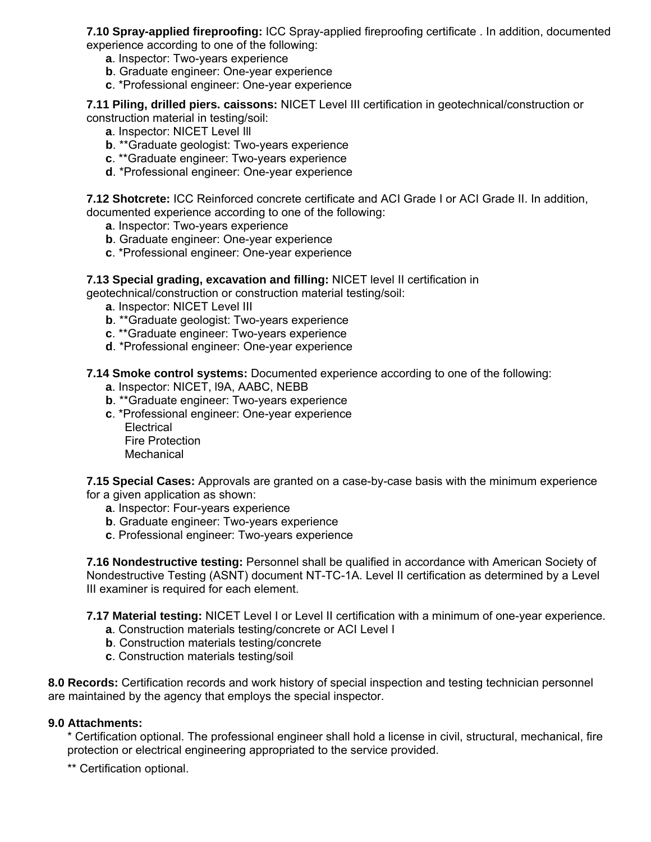**7.10 Spray-applied fireproofing:** ICC Spray-applied fireproofing certificate . In addition, documented experience according to one of the following:

- **a**. Inspector: Two-years experience
- **b**. Graduate engineer: One-year experience
- **c**. \*Professional engineer: One-year experience

**7.11 Piling, drilled piers. caissons:** NICET Level III certification in geotechnical/construction or construction material in testing/soil:

- **a**. Inspector: NICET Level Ill
- **b**. \*\*Graduate geologist: Two-years experience
- **c**. \*\*Graduate engineer: Two-years experience
- **d**. \*Professional engineer: One-year experience

**7.12 Shotcrete:** ICC Reinforced concrete certificate and ACI Grade I or ACI Grade II. In addition, documented experience according to one of the following:

- **a**. Inspector: Two-years experience
- **b**. Graduate engineer: One-year experience
- **c**. \*Professional engineer: One-year experience

#### **7.13 Special grading, excavation and filling:** NICET level II certification in

geotechnical/construction or construction material testing/soil:

- **a**. Inspector: NICET Level III
- **b**. \*\*Graduate geologist: Two-years experience
- **c**. \*\*Graduate engineer: Two-years experience
- **d**. \*Professional engineer: One-year experience

#### **7.14 Smoke control systems:** Documented experience according to one of the following:

- **a**. Inspector: NICET, l9A, AABC, NEBB
- **b**. \*\*Graduate engineer: Two-years experience
- **c**. \*Professional engineer: One-year experience **Electrical** Fire Protection

Mechanical

**7.15 Special Cases:** Approvals are granted on a case-by-case basis with the minimum experience for a given application as shown:

- **a**. Inspector: Four-years experience
- **b**. Graduate engineer: Two-years experience
- **c**. Professional engineer: Two-years experience

**7.16 Nondestructive testing:** Personnel shall be qualified in accordance with American Society of Nondestructive Testing (ASNT) document NT-TC-1A. Level II certification as determined by a Level III examiner is required for each element.

**7.17 Material testing:** NICET Level I or Level II certification with a minimum of one-year experience.

- **a**. Construction materials testing/concrete or ACI Level I
- **b**. Construction materials testing/concrete
- **c**. Construction materials testing/soil

**8.0 Records:** Certification records and work history of special inspection and testing technician personnel are maintained by the agency that employs the special inspector.

#### **9.0 Attachments:**

\* Certification optional. The professional engineer shall hold a license in civil, structural, mechanical, fire protection or electrical engineering appropriated to the service provided.

\*\* Certification optional.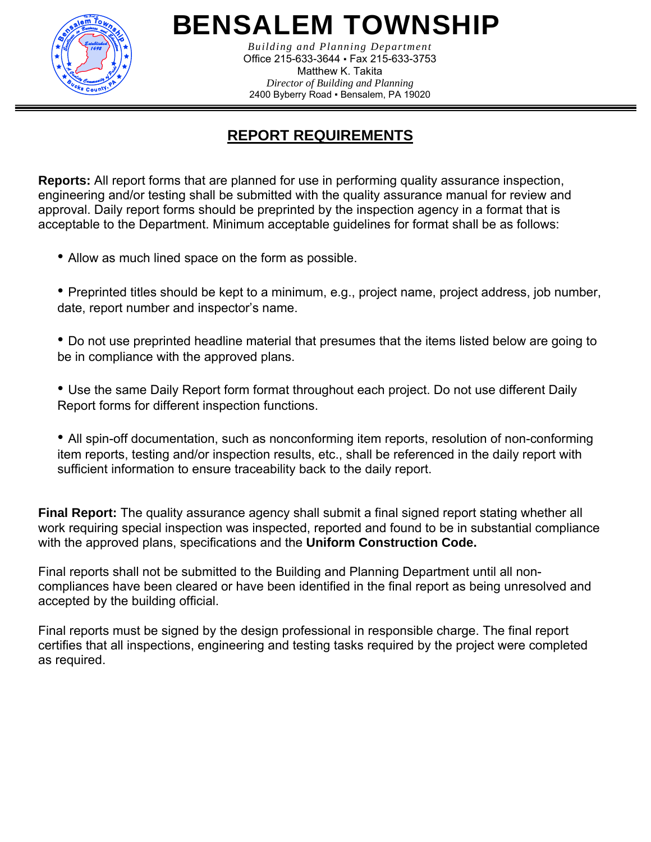

*Building and Planning Department*  Office 215-633-3644 ▪ Fax 215-633-3753 Matthew K. Takita *Director of Building and Planning*  2400 Byberry Road ▪ Bensalem, PA 19020

# **REPORT REQUIREMENTS**

**Reports:** All report forms that are planned for use in performing quality assurance inspection, engineering and/or testing shall be submitted with the quality assurance manual for review and approval. Daily report forms should be preprinted by the inspection agency in a format that is acceptable to the Department. Minimum acceptable guidelines for format shall be as follows:

• Allow as much lined space on the form as possible.

• Preprinted titles should be kept to a minimum, e.g., project name, project address, job number, date, report number and inspector's name.

• Do not use preprinted headline material that presumes that the items listed below are going to be in compliance with the approved plans.

• Use the same Daily Report form format throughout each project. Do not use different Daily Report forms for different inspection functions.

• All spin-off documentation, such as nonconforming item reports, resolution of non-conforming item reports, testing and/or inspection results, etc., shall be referenced in the daily report with sufficient information to ensure traceability back to the daily report.

**Final Report:** The quality assurance agency shall submit a final signed report stating whether all work requiring special inspection was inspected, reported and found to be in substantial compliance with the approved plans, specifications and the **Uniform Construction Code.**

Final reports shall not be submitted to the Building and Planning Department until all noncompliances have been cleared or have been identified in the final report as being unresolved and accepted by the building official.

Final reports must be signed by the design professional in responsible charge. The final report certifies that all inspections, engineering and testing tasks required by the project were completed as required.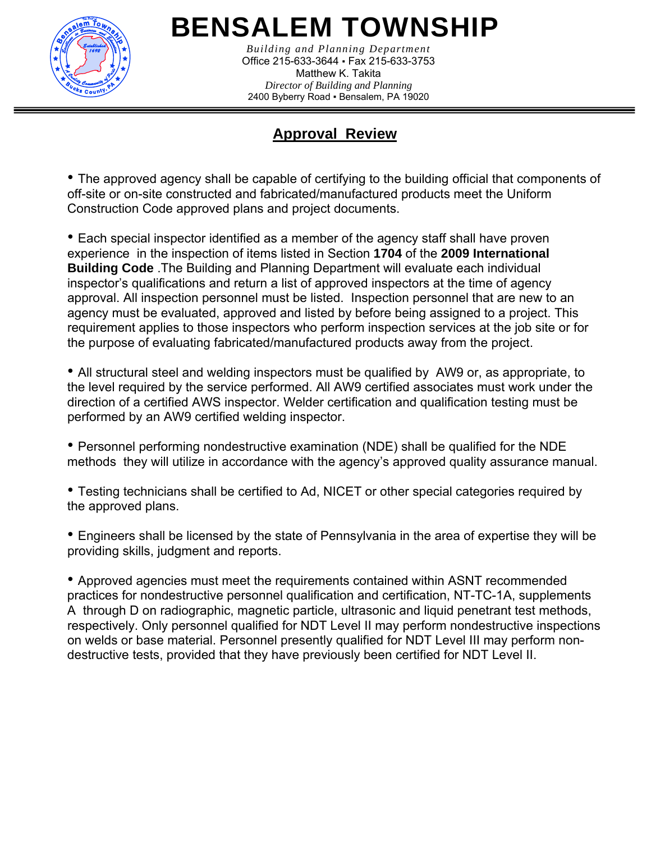

*Building and Planning Department*  Office 215-633-3644 ▪ Fax 215-633-3753 Matthew K. Takita *Director of Building and Planning*  2400 Byberry Road ▪ Bensalem, PA 19020

## **Approval Review**

• The approved agency shall be capable of certifying to the building official that components of off-site or on-site constructed and fabricated/manufactured products meet the Uniform Construction Code approved plans and project documents.

• Each special inspector identified as a member of the agency staff shall have proven experience in the inspection of items listed in Section **1704** of the **2009 International Building Code** .The Building and Planning Department will evaluate each individual inspector's qualifications and return a list of approved inspectors at the time of agency approval. All inspection personnel must be listed. Inspection personnel that are new to an agency must be evaluated, approved and listed by before being assigned to a project. This requirement applies to those inspectors who perform inspection services at the job site or for the purpose of evaluating fabricated/manufactured products away from the project.

• All structural steel and welding inspectors must be qualified by AW9 or, as appropriate, to the level required by the service performed. All AW9 certified associates must work under the direction of a certified AWS inspector. Welder certification and qualification testing must be performed by an AW9 certified welding inspector.

• Personnel performing nondestructive examination (NDE) shall be qualified for the NDE methods they will utilize in accordance with the agency's approved quality assurance manual.

• Testing technicians shall be certified to Ad, NICET or other special categories required by the approved plans.

• Engineers shall be licensed by the state of Pennsylvania in the area of expertise they will be providing skills, judgment and reports.

• Approved agencies must meet the requirements contained within ASNT recommended practices for nondestructive personnel qualification and certification, NT-TC-1A, supplements A through D on radiographic, magnetic particle, ultrasonic and liquid penetrant test methods, respectively. Only personnel qualified for NDT Level II may perform nondestructive inspections on welds or base material. Personnel presently qualified for NDT Level III may perform nondestructive tests, provided that they have previously been certified for NDT Level II.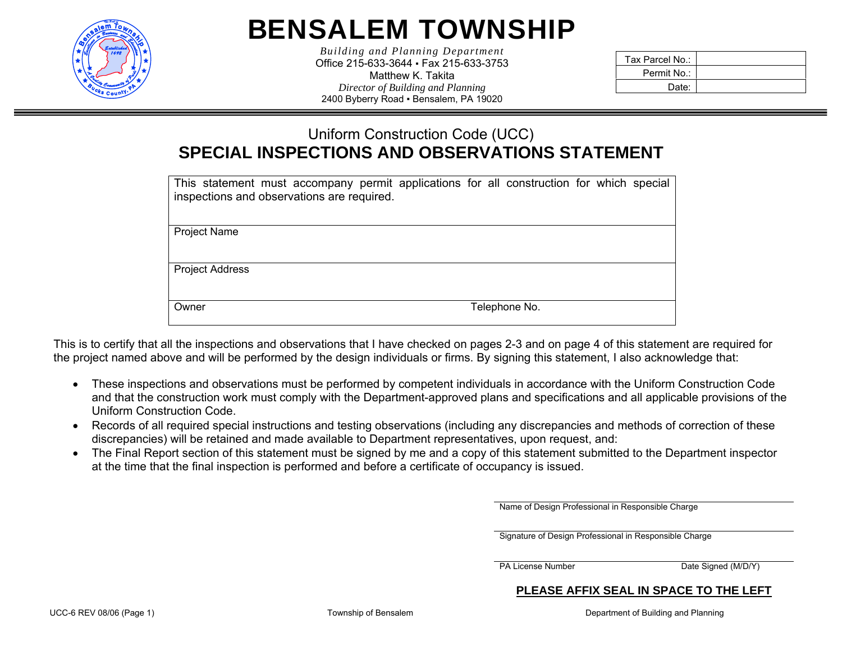

*Building and Planning Department*  Office 215-633-3644 ▪ Fax 215-633-3753 Matthew K. Takita *Director of Building and Planning*  2400 Byberry Road ▪ Bensalem, PA 19020

| Tax Parcel No.: |  |
|-----------------|--|
| Permit No.:     |  |
| Date:           |  |

## Uniform Construction Code (UCC) **SPECIAL INSPECTIONS AND OBSERVATIONS STATEMENT**

| This statement must accompany permit applications for all construction for which special<br>inspections and observations are required. |               |  |  |
|----------------------------------------------------------------------------------------------------------------------------------------|---------------|--|--|
| <b>Project Name</b>                                                                                                                    |               |  |  |
| <b>Project Address</b>                                                                                                                 |               |  |  |
| Owner                                                                                                                                  | Telephone No. |  |  |

This is to certify that all the inspections and observations that I have checked on pages 2-3 and on page 4 of this statement are required for the project named above and will be performed by the design individuals or firms. By signing this statement, I also acknowledge that:

- These inspections and observations must be performed by competent individuals in accordance with the Uniform Construction Code and that the construction work must comply with the Department-approved plans and specifications and all applicable provisions of the Uniform Construction Code.
- Records of all required special instructions and testing observations (including any discrepancies and methods of correction of these discrepancies) will be retained and made available to Department representatives, upon request, and:
- The Final Report section of this statement must be signed by me and a copy of this statement submitted to the Department inspector at the time that the final inspection is performed and before a certificate of occupancy is issued.

Name of Design Professional in Responsible Charge

Signature of Design Professional in Responsible Charge

PA License Number Date Signed (M/D/Y)

#### **PLEASE AFFIX SEAL IN SPACE TO THE LEFT**

UCC-6 REV 08/06 (Page 1) Township of Bensalem The Contract of Building and Planning in the Department of Building and Planning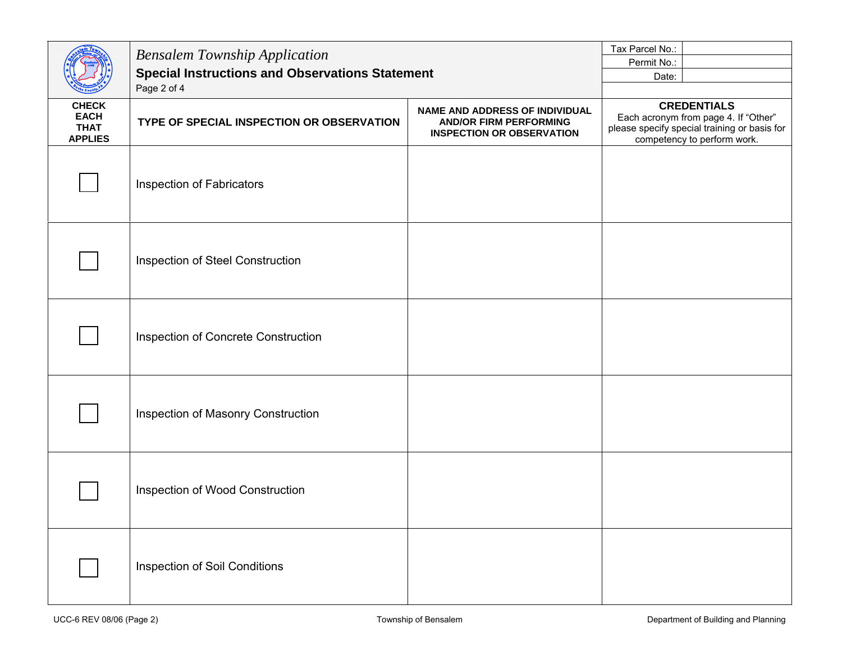|                                                              | <b>Bensalem Township Application</b><br><b>Special Instructions and Observations Statement</b> |                                                                                                            | Permit No.: |                                                                                                                                           |
|--------------------------------------------------------------|------------------------------------------------------------------------------------------------|------------------------------------------------------------------------------------------------------------|-------------|-------------------------------------------------------------------------------------------------------------------------------------------|
|                                                              |                                                                                                |                                                                                                            | Date:       |                                                                                                                                           |
|                                                              | Page 2 of 4                                                                                    |                                                                                                            |             |                                                                                                                                           |
| <b>CHECK</b><br><b>EACH</b><br><b>THAT</b><br><b>APPLIES</b> | TYPE OF SPECIAL INSPECTION OR OBSERVATION                                                      | <b>NAME AND ADDRESS OF INDIVIDUAL</b><br><b>AND/OR FIRM PERFORMING</b><br><b>INSPECTION OR OBSERVATION</b> |             | <b>CREDENTIALS</b><br>Each acronym from page 4. If "Other"<br>please specify special training or basis for<br>competency to perform work. |
|                                                              | Inspection of Fabricators                                                                      |                                                                                                            |             |                                                                                                                                           |
|                                                              | Inspection of Steel Construction                                                               |                                                                                                            |             |                                                                                                                                           |
|                                                              | Inspection of Concrete Construction                                                            |                                                                                                            |             |                                                                                                                                           |
|                                                              | Inspection of Masonry Construction                                                             |                                                                                                            |             |                                                                                                                                           |
|                                                              | Inspection of Wood Construction                                                                |                                                                                                            |             |                                                                                                                                           |
|                                                              | Inspection of Soil Conditions                                                                  |                                                                                                            |             |                                                                                                                                           |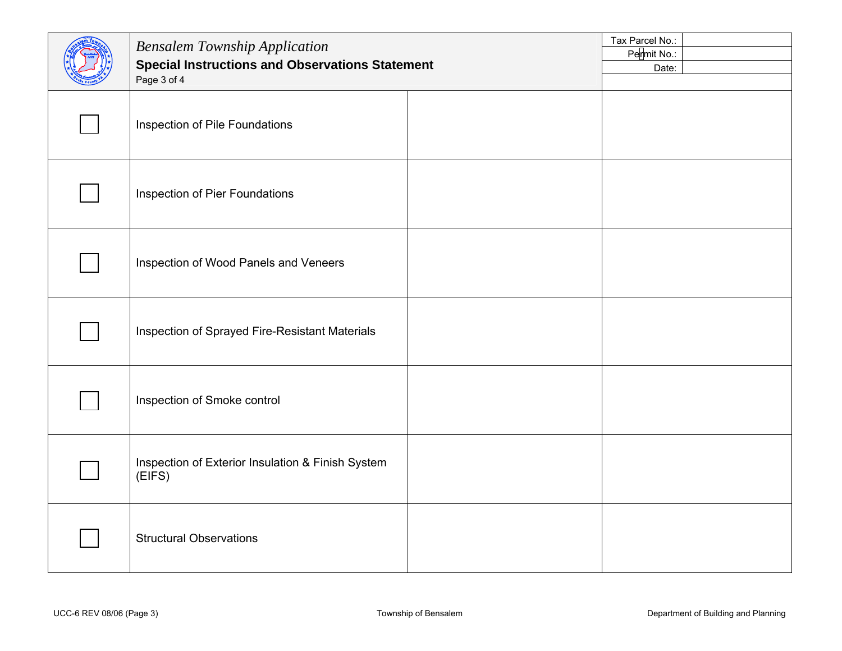| <b>Bensalem Township Application</b><br><b>Special Instructions and Observations Statement</b><br>Page 3 of 4 |  | Tax Parcel No.:<br>Permit No.:<br>Date: |
|---------------------------------------------------------------------------------------------------------------|--|-----------------------------------------|
| Inspection of Pile Foundations                                                                                |  |                                         |
| Inspection of Pier Foundations                                                                                |  |                                         |
| Inspection of Wood Panels and Veneers                                                                         |  |                                         |
| Inspection of Sprayed Fire-Resistant Materials                                                                |  |                                         |
| Inspection of Smoke control                                                                                   |  |                                         |
| Inspection of Exterior Insulation & Finish System<br>(EIFS)                                                   |  |                                         |
| <b>Structural Observations</b>                                                                                |  |                                         |